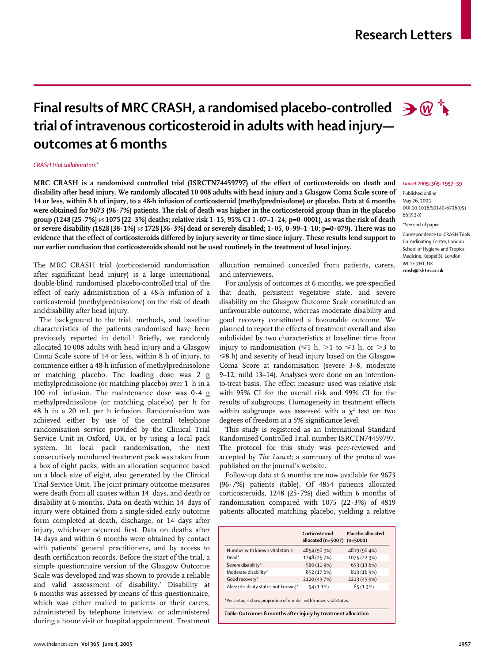## **Research Letters**

# **Final results of MRC CRASH, a randomised placebo-controlled**  $\rightarrow \omega^+$ **trial of intravenous corticosteroid in adults with head injury outcomes at 6 months**

#### *CRASH trial collaborators\**

**MRC CRASH is a randomised controlled trial (ISRCTN74459797) of the effect of corticosteroids on death and disability after head injury. We randomly allocated 10 008 adults with head injury and a Glasgow Coma Scale score of 14 or less, within 8 h of injury, to a 48-h infusion of corticosteroid (methylprednisolone) or placebo. Data at 6 months were obtained for 9673 (96·7%) patients. The risk of death was higher in the corticosteroid group than in the placebo group (1248 [25·7%]** *vs* **1075 [22·3%] deaths; relative risk 1·15, 95% CI 1·07–1·24; p=0·0001), as was the risk of death or severe disability (1828 [38·1%]** *vs* **1728 [36·3%] dead or severely disabled; 1·05, 0·99–1·10; p=0·079). There was no evidence that the effect of corticosteroids differed by injury severity or time since injury. These results lend support to our earlier conclusion that corticosteroids should not be used routinely in the treatment of head injury.**

The MRC CRASH trial (corticosteroid randomisation after significant head injury) is a large international double-blind randomised placebo-controlled trial of the effect of early administration of a 48-h infusion of a corticosteroid (methylprednisolone) on the risk of death anddisability after head injury.

The background to the trial, methods, and baseline characteristics of the patients randomised have been previously reported in detail.<sup>1</sup> Briefly, we randomly allocated 10 008 adults with head injury and a Glasgow Coma Scale score of 14 or less, within 8 h of injury, to commence either a 48-h infusion of methylprednisolone or matching placebo. The loading dose was 2 g methylprednisolone (or matching placebo) over 1 h in a 100 mL infusion. The maintenance dose was 0·4 g methylprednisolone (or matching placebo) per h for 48 h in a 20 mL per h infusion. Randomisation was achieved either by use of the central telephone randomisation service provided by the Clinical Trial Service Unit in Oxford, UK, or by using a local pack system. In local pack randomisation, the next consecutively numbered treatment pack was taken from a box of eight packs, with an allocation sequence based on a block size of eight, also generated by the Clinical Trial Service Unit. The joint primary outcome measures were death from all causes within 14 days, and death or disability at 6 months. Data on death within 14 days of injury were obtained from a single-sided early outcome form completed at death, discharge, or 14 days after injury, whichever occurred first. Data on deaths after 14 days and within 6 months were obtained by contact with patients' general practitioners, and by access to death certification records. Before the start of the trial, a simple questionnaire version of the Glasgow Outcome Scale was developed and was shown to provide a reliable and valid assessment of disability.<sup>2</sup> Disability at 6 months was assessed by means of this questionnaire, which was either mailed to patients or their carers, administered by telephone interview, or administered during a home visit or hospital appointment. Treatment allocation remained concealed from patients, carers, and interviewers.

For analysis of outcomes at 6 months, we pre-specified that death, persistent vegetative state, and severe disability on the Glasgow Outcome Scale constituted an unfavourable outcome, whereas moderate disability and good recovery constituted a favourable outcome. We planned to report the effects of treatment overall and also subdivided by two characteristics at baseline: time from injury to randomisation ( $\leq 1$  h,  $>$ 1 to  $\leq 3$  h, or  $>$ 3 to  $\leq$ 8 h) and severity of head injury based on the Glasgow Coma Score at randomisation (severe 3–8, moderate 9–12, mild 13–14). Analyses were done on an intentionto-treat basis. The effect measure used was relative risk with 95% CI for the overall risk and 99% CI for the results of subgroups. Homogeneity in treatment effects within subgroups was assessed with a  $\chi^2$  test on two degrees of freedom at a 5% significance level.

This study is registered as an International Standard Randomised Controlled Trial, number ISRCTN74459797. The protocol for this study was peer-reviewed and accepted by *The Lancet*; a summary of the protocol was published on the journal's website.

Follow-up data at 6 months are now available for 9673 (96·7%) patients (table). Of 4854 patients allocated corticosteroids, 1248 (25·7%) died within 6 months of randomisation compared with 1075 (22·3%) of 4819 patients allocated matching placebo, yielding a relative

|                                                                 | Corticosteroid<br>allocated (n=5007) (n=5001) | Placebo allocated |
|-----------------------------------------------------------------|-----------------------------------------------|-------------------|
| Number with known vital status                                  | 4854 (96.9%)                                  | 4819 (96.4%)      |
| Dead*                                                           | 1248 (25.7%)                                  | 1075 (22.3%)      |
| Severe disability*                                              | 580 (11.9%)                                   | 653 (13.6%)       |
| Moderate disability*                                            | 852 (17.6%)                                   | 813 (16.9%)       |
| Good recovery*                                                  | 2120 (43.7%)                                  | 2213 (45.9%)      |
| Alive (disability status not known)*                            | $54(1.1\%)$                                   | 65(1.3%)          |
| *Percentages show proportion of number with known vital status. |                                               |                   |

*Table:* **Outcomes 6 months after injury by treatment allocation**

### *Lancet* **2005; 365: 1957–59**

Published online May 26, 2005 DOI:10.1016/S0140-6736(05) 66552-X \*See end of paper

Correspondence to: CRASH Trials Co-ordinating Centre, London School of Hygiene and Tropical Medicine, Keppel St, London WC1E 7HT, UK **crash@lshtm.ac.uk**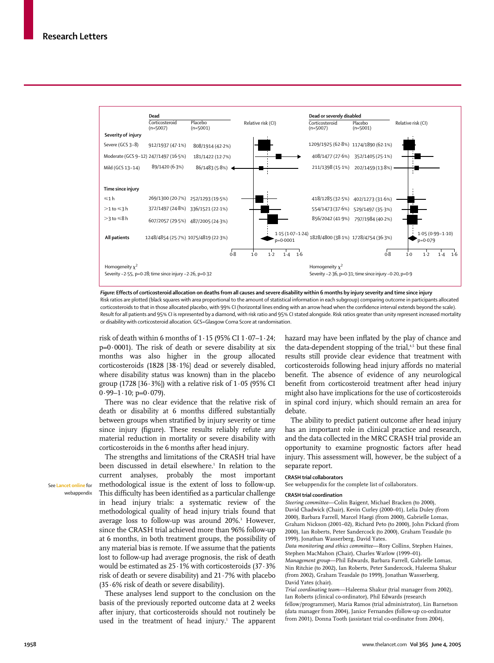

*Figure:* **Effects of corticosteroid allocation on deaths from all causes and severe disability within 6 months by injury severity and time since injury** Risk ratios are plotted (black squares with area proportional to the amount of statistical information in each subgroup) comparing outcome in participants allocated corticosteroids to that in those allocated placebo, with 99% CI (horizontal lines ending with an arrow head when the confidence interval extends beyond the scale). Result for all patients and 95% CI is represented by a diamond, with risk ratio and 95% CI stated alongside. Risk ratios greater than unity represent increased mortality or disability with corticosteroid allocation. GCS=Glasgow Coma Score at randomisation.

risk of death within 6 months of  $1.15$  (95% CI  $1.07-1.24$ ; p=0·0001). The risk of death or severe disability at six months was also higher in the group allocated corticosteroids (1828 [38·1%] dead or severely disabled, where disability status was known) than in the placebo group (1728 [36 $\cdot$ 3%]) with a relative risk of 1 $\cdot$ 05 (95% CI  $0.99-1.10$ ; p= $0.079$ ).

There was no clear evidence that the relative risk of death or disability at 6 months differed substantially between groups when stratified by injury severity or time since injury (figure). These results reliably refute any material reduction in mortality or severe disability with corticosteroids in the 6 months after head injury.

The strengths and limitations of the CRASH trial have been discussed in detail elsewhere.<sup>1</sup> In relation to the current analyses, probably the most important methodological issue is the extent of loss to follow-up. This difficulty has been identified as a particular challenge in head injury trials: a systematic review of the methodological quality of head injury trials found that average loss to follow-up was around 20%.<sup>3</sup> However, since the CRASH trial achieved more than 96% follow-up at 6 months, in both treatment groups, the possibility of any material bias is remote. If we assume that the patients lost to follow-up had average prognosis, the risk of death would be estimated as 25·1% with corticosteroids (37·3% risk of death or severe disability) and 21·7% with placebo (35·6% risk of death or severe disability).

These analyses lend support to the conclusion on the basis of the previously reported outcome data at 2 weeks after injury, that corticosteroids should not routinely be used in the treatment of head injury.<sup>1</sup> The apparent hazard may have been inflated by the play of chance and the data-dependent stopping of the trial,<sup>4,5</sup> but these final results still provide clear evidence that treatment with corticosteroids following head injury affords no material benefit. The absence of evidence of any neurological benefit from corticosteroid treatment after head injury might also have implications for the use of corticosteroids in spinal cord injury, which should remain an area for debate.

The ability to predict patient outcome after head injury has an important role in clinical practice and research, and the data collected in the MRC CRASH trial provide an opportunity to examine prognostic factors after head injury. This assessment will, however, be the subject of a separate report.

#### **CRASH trial collaborators**

See webappendix for the complete list of collaborators.

#### **CRASH trial coordination**

*Steering committee*—Colin Baigent, Michael Bracken (to 2000), David Chadwick (Chair), Kevin Curley (2000–01), Lelia Duley (from 2000), Barbara Farrell, Marcel Haegi (from 2000), Gabrielle Lomas, Graham Nickson (2001–02), Richard Peto (to 2000), John Pickard (from 2000), Ian Roberts, Peter Sandercock (to 2000), Graham Teasdale (to 1999), Jonathan Wasserberg, David Yates.

*Data monitoring and ethics committee*—Rory Collins, Stephen Haines, Stephen MacMahon (Chair), Charles Warlow (1999–01). *Management group*—Phil Edwards, Barbara Farrell, Gabrielle Lomas, Nin Ritchie (to 2002), Ian Roberts, Peter Sandercock, Haleema Shakur (from 2002), Graham Teasdale (to 1999), Jonathan Wasserberg, David Yates (chair).

*Trial coordinating team*—Haleema Shakur (trial manager from 2002), Ian Roberts (clinical co-ordinator), Phil Edwards (research fellow/programmer), Maria Ramos (trial administrator), Lin Barnetson (data manager from 2004), Janice Fernandes (follow-up co-ordinator from 2001), Donna Tooth (assistant trial co-ordinator from 2004),

See **Lancet online** for webappendix